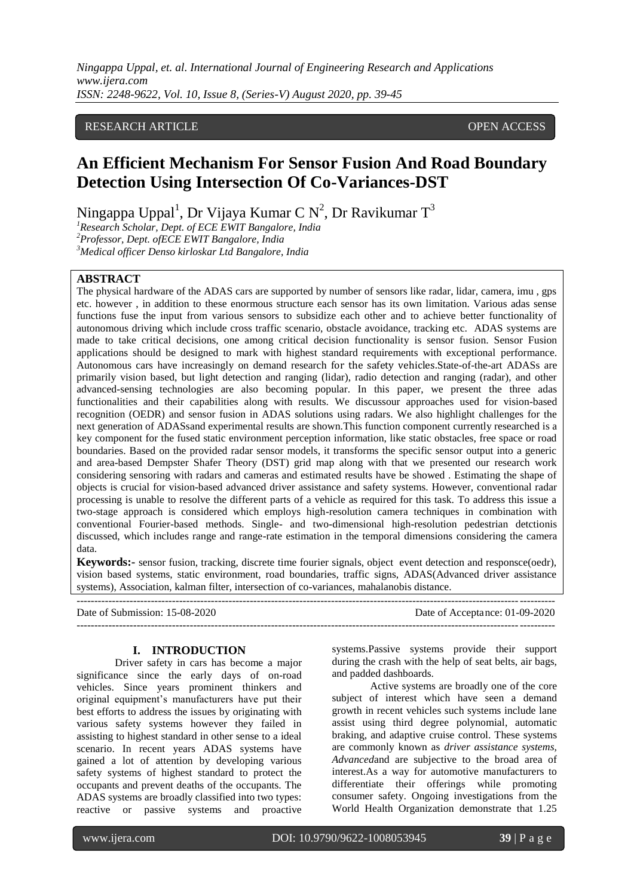*Ningappa Uppal, et. al. International Journal of Engineering Research and Applications www.ijera.com ISSN: 2248-9622, Vol. 10, Issue 8, (Series-V) August 2020, pp. 39-45*

## RESEARCH ARTICLE **OPEN ACCESS**

# **An Efficient Mechanism For Sensor Fusion And Road Boundary Detection Using Intersection Of Co-Variances-DST**

Ningappa Uppal<sup>1</sup>, Dr Vijaya Kumar C N<sup>2</sup>, Dr Ravikumar T $^3$ 

*<sup>1</sup>Research Scholar, Dept. of ECE EWIT Bangalore, India <sup>2</sup>Professor, Dept. ofECE EWIT Bangalore, India <sup>3</sup>Medical officer Denso kirloskar Ltd Bangalore, India*

### **ABSTRACT**

The physical hardware of the ADAS cars are supported by number of sensors like radar, lidar, camera, imu , gps etc. however , in addition to these enormous structure each sensor has its own limitation. Various adas sense functions fuse the input from various sensors to subsidize each other and to achieve better functionality of autonomous driving which include cross traffic scenario, obstacle avoidance, tracking etc. ADAS systems are made to take critical decisions, one among critical decision functionality is sensor fusion. Sensor Fusion applications should be designed to mark with highest standard requirements with exceptional performance. Autonomous cars have increasingly on demand research for the safety vehicles.State-of-the-art ADASs are primarily vision based, but light detection and ranging (lidar), radio detection and ranging (radar), and other advanced-sensing technologies are also becoming popular. In this paper, we present the three adas functionalities and their capabilities along with results. We discussour approaches used for vision-based recognition (OEDR) and sensor fusion in ADAS solutions using radars. We also highlight challenges for the next generation of ADASsand experimental results are shown.This function component currently researched is a key component for the fused static environment perception information, like static obstacles, free space or road boundaries. Based on the provided radar sensor models, it transforms the specific sensor output into a generic and area-based Dempster Shafer Theory (DST) grid map along with that we presented our research work considering sensoring with radars and cameras and estimated results have be showed . Estimating the shape of objects is crucial for vision-based advanced driver assistance and safety systems. However, conventional radar processing is unable to resolve the different parts of a vehicle as required for this task. To address this issue a two-stage approach is considered which employs high-resolution camera techniques in combination with conventional Fourier-based methods. Single- and two-dimensional high-resolution pedestrian detctionis discussed, which includes range and range-rate estimation in the temporal dimensions considering the camera data.

**Keywords:-** sensor fusion, tracking, discrete time fourier signals, object event detection and responsce(oedr), vision based systems, static environment, road boundaries, traffic signs, ADAS(Advanced driver assistance systems), Association, kalman filter, intersection of co-variances, mahalanobis distance.

---------------------------------------------------------------------------------------------------------------------------------------

---------------------------------------------------------------------------------------------------------------------------------------

Date of Submission: 15-08-2020 Date of Acceptance: 01-09-2020

### **I. INTRODUCTION**

Driver safety in cars has become a major significance since the early days of on-road vehicles. Since years prominent thinkers and original equipment's manufacturers have put their best efforts to address the issues by originating with various safety systems however they failed in assisting to highest standard in other sense to a ideal scenario. In recent years ADAS systems have gained a lot of attention by developing various safety systems of highest standard to protect the occupants and prevent deaths of the occupants. The ADAS systems are broadly classified into two types: reactive or passive systems and proactive

systems.Passive systems provide their support during the crash with the help of seat belts, air bags, and padded dashboards.

Active systems are broadly one of the core subject of interest which have seen a demand growth in recent vehicles such systems include lane assist using third degree polynomial, automatic braking, and adaptive cruise control. These systems are commonly known as *driver assistance systems, Advanced*and are subjective to the broad area of interest.As a way for automotive manufacturers to differentiate their offerings while promoting consumer safety. Ongoing investigations from the World Health Organization demonstrate that 1.25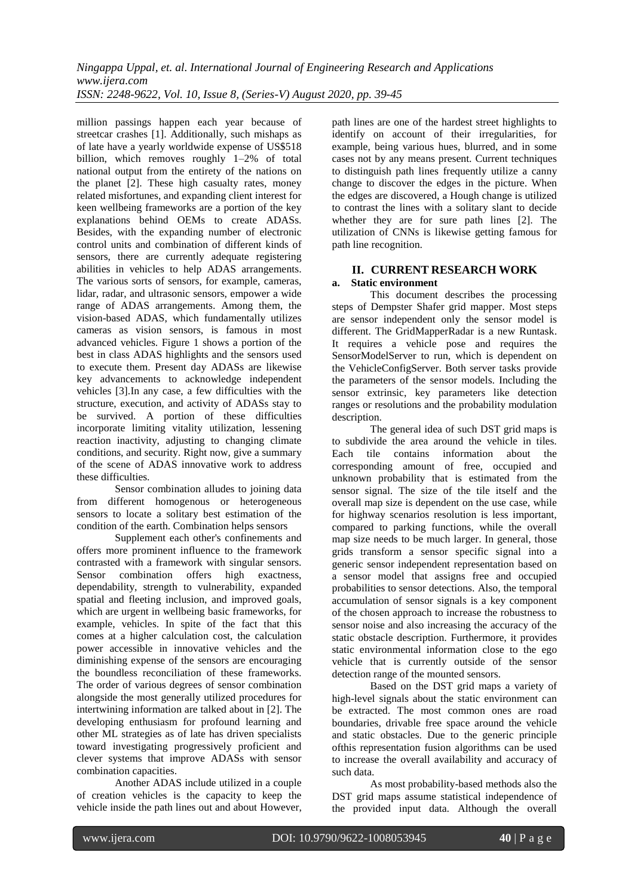million passings happen each year because of streetcar crashes [1]. Additionally, such mishaps as of late have a yearly worldwide expense of US\$518 billion, which removes roughly 1–2% of total national output from the entirety of the nations on the planet [2]. These high casualty rates, money related misfortunes, and expanding client interest for keen wellbeing frameworks are a portion of the key explanations behind OEMs to create ADASs. Besides, with the expanding number of electronic control units and combination of different kinds of sensors, there are currently adequate registering abilities in vehicles to help ADAS arrangements. The various sorts of sensors, for example, cameras, lidar, radar, and ultrasonic sensors, empower a wide range of ADAS arrangements. Among them, the vision-based ADAS, which fundamentally utilizes cameras as vision sensors, is famous in most advanced vehicles. Figure 1 shows a portion of the best in class ADAS highlights and the sensors used to execute them. Present day ADASs are likewise key advancements to acknowledge independent vehicles [3].In any case, a few difficulties with the structure, execution, and activity of ADASs stay to be survived. A portion of these difficulties incorporate limiting vitality utilization, lessening reaction inactivity, adjusting to changing climate conditions, and security. Right now, give a summary of the scene of ADAS innovative work to address these difficulties.

Sensor combination alludes to joining data from different homogenous or heterogeneous sensors to locate a solitary best estimation of the condition of the earth. Combination helps sensors

Supplement each other's confinements and offers more prominent influence to the framework contrasted with a framework with singular sensors. Sensor combination offers high exactness, dependability, strength to vulnerability, expanded spatial and fleeting inclusion, and improved goals, which are urgent in wellbeing basic frameworks, for example, vehicles. In spite of the fact that this comes at a higher calculation cost, the calculation power accessible in innovative vehicles and the diminishing expense of the sensors are encouraging the boundless reconciliation of these frameworks. The order of various degrees of sensor combination alongside the most generally utilized procedures for intertwining information are talked about in [2]. The developing enthusiasm for profound learning and other ML strategies as of late has driven specialists toward investigating progressively proficient and clever systems that improve ADASs with sensor combination capacities.

Another ADAS include utilized in a couple of creation vehicles is the capacity to keep the vehicle inside the path lines out and about However, path lines are one of the hardest street highlights to identify on account of their irregularities, for example, being various hues, blurred, and in some cases not by any means present. Current techniques to distinguish path lines frequently utilize a canny change to discover the edges in the picture. When the edges are discovered, a Hough change is utilized to contrast the lines with a solitary slant to decide whether they are for sure path lines [2]. The utilization of CNNs is likewise getting famous for path line recognition.

# **II. CURRENT RESEARCH WORK**

## **a. Static environment**

This document describes the processing steps of Dempster Shafer grid mapper. Most steps are sensor independent only the sensor model is different. The GridMapperRadar is a new Runtask. It requires a vehicle pose and requires the SensorModelServer to run, which is dependent on the VehicleConfigServer. Both server tasks provide the parameters of the sensor models. Including the sensor extrinsic, key parameters like detection ranges or resolutions and the probability modulation description.

The general idea of such DST grid maps is to subdivide the area around the vehicle in tiles. Each tile contains information about the corresponding amount of free, occupied and unknown probability that is estimated from the sensor signal. The size of the tile itself and the overall map size is dependent on the use case, while for highway scenarios resolution is less important, compared to parking functions, while the overall map size needs to be much larger. In general, those grids transform a sensor specific signal into a generic sensor independent representation based on a sensor model that assigns free and occupied probabilities to sensor detections. Also, the temporal accumulation of sensor signals is a key component of the chosen approach to increase the robustness to sensor noise and also increasing the accuracy of the static obstacle description. Furthermore, it provides static environmental information close to the ego vehicle that is currently outside of the sensor detection range of the mounted sensors.

Based on the DST grid maps a variety of high-level signals about the static environment can be extracted. The most common ones are road boundaries, drivable free space around the vehicle and static obstacles. Due to the generic principle ofthis representation fusion algorithms can be used to increase the overall availability and accuracy of such data.

As most probability-based methods also the DST grid maps assume statistical independence of the provided input data. Although the overall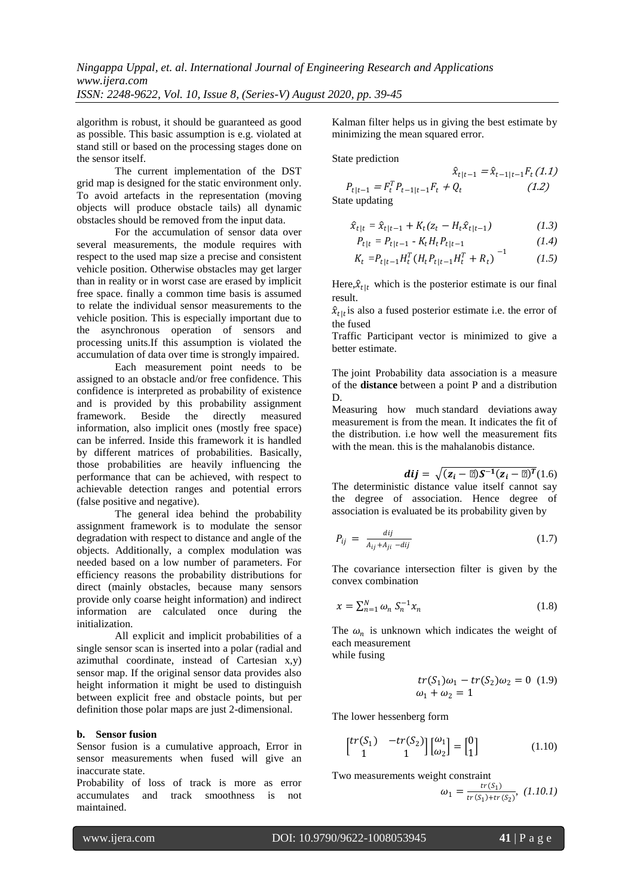algorithm is robust, it should be guaranteed as good as possible. This basic assumption is e.g. violated at stand still or based on the processing stages done on the sensor itself.

The current implementation of the DST grid map is designed for the static environment only. To avoid artefacts in the representation (moving objects will produce obstacle tails) all dynamic obstacles should be removed from the input data.

For the accumulation of sensor data over several measurements, the module requires with respect to the used map size a precise and consistent vehicle position. Otherwise obstacles may get larger than in reality or in worst case are erased by implicit free space. finally a common time basis is assumed to relate the individual sensor measurements to the vehicle position. This is especially important due to the asynchronous operation of sensors and processing units.If this assumption is violated the accumulation of data over time is strongly impaired.

Each measurement point needs to be assigned to an obstacle and/or free confidence. This confidence is interpreted as probability of existence and is provided by this probability assignment framework. Beside the directly measured information, also implicit ones (mostly free space) can be inferred. Inside this framework it is handled by different matrices of probabilities. Basically, those probabilities are heavily influencing the performance that can be achieved, with respect to achievable detection ranges and potential errors (false positive and negative).

The general idea behind the probability assignment framework is to modulate the sensor degradation with respect to distance and angle of the objects. Additionally, a complex modulation was needed based on a low number of parameters. For efficiency reasons the probability distributions for direct (mainly obstacles, because many sensors provide only coarse height information) and indirect information are calculated once during the initialization.

All explicit and implicit probabilities of a single sensor scan is inserted into a polar (radial and azimuthal coordinate, instead of Cartesian x,y) sensor map. If the original sensor data provides also height information it might be used to distinguish between explicit free and obstacle points, but per definition those polar maps are just 2-dimensional.

#### **b. Sensor fusion**

Sensor fusion is a cumulative approach, Error in sensor measurements when fused will give an inaccurate state.

Probability of loss of track is more as error accumulates and track smoothness is not maintained.

Kalman filter helps us in giving the best estimate by minimizing the mean squared error.

State prediction

$$
\hat{x}_{t|t-1} = \hat{x}_{t-1|t-1}F_t(1.1)
$$
  
 
$$
P_{t|t-1} = F_t^T P_{t-1|t-1}F_t + Q_t
$$
 (1.2)  
State updating

$$
\hat{x}_{t|t} = \hat{x}_{t|t-1} + K_t(z_t - H_t \hat{x}_{t|t-1})
$$
\n(1.3)

$$
P_{t|t} = P_{t|t-1} - K_t H_t P_{t|t-1} \tag{1.4}
$$

$$
K_t = P_{t|t-1} H_t^T (H_t P_{t|t-1} H_t^T + R_t)^{-1}
$$
 (1.5)

Here,  $\hat{x}_{t|t}$  which is the posterior estimate is our final result.

 $\hat{x}_{t}|_{t}$  is also a fused posterior estimate i.e. the error of the fused

Traffic Participant vector is minimized to give a better estimate.

The joint Probability data association is a measure of the **distance** between a point P and a distribution D.

Measuring how much standard deviations away measurement is from the mean. It indicates the fit of the distribution. i.e how well the measurement fits with the mean. this is the mahalanobis distance.

$$
dij = \sqrt{(z_i - \mu)S^{-1}(z_i - \mu)^T}(1.6)
$$

The deterministic distance value itself cannot say the degree of association. Hence degree of association is evaluated be its probability given by

$$
P_{ij} = \frac{dij}{A_{ij} + A_{ji} - dij} \tag{1.7}
$$

The covariance intersection filter is given by the convex combination

$$
x = \sum_{n=1}^{N} \omega_n S_n^{-1} x_n \tag{1.8}
$$

The  $\omega_n$  is unknown which indicates the weight of each measurement while fusing

$$
tr(S_1)\omega_1 - tr(S_2)\omega_2 = 0
$$
 (1.9)  

$$
\omega_1 + \omega_2 = 1
$$

The lower hessenberg form

$$
\begin{bmatrix} tr(S_1) & -tr(S_2) \\ 1 & 1 \end{bmatrix} \begin{bmatrix} \omega_1 \\ \omega_2 \end{bmatrix} = \begin{bmatrix} 0 \\ 1 \end{bmatrix} \tag{1.10}
$$

Two measurements weight constraint

$$
\omega_1 = \frac{\text{tr}(S_1)}{\text{tr}(S_1) + \text{tr}(S_2)}, \ (1.10.1)
$$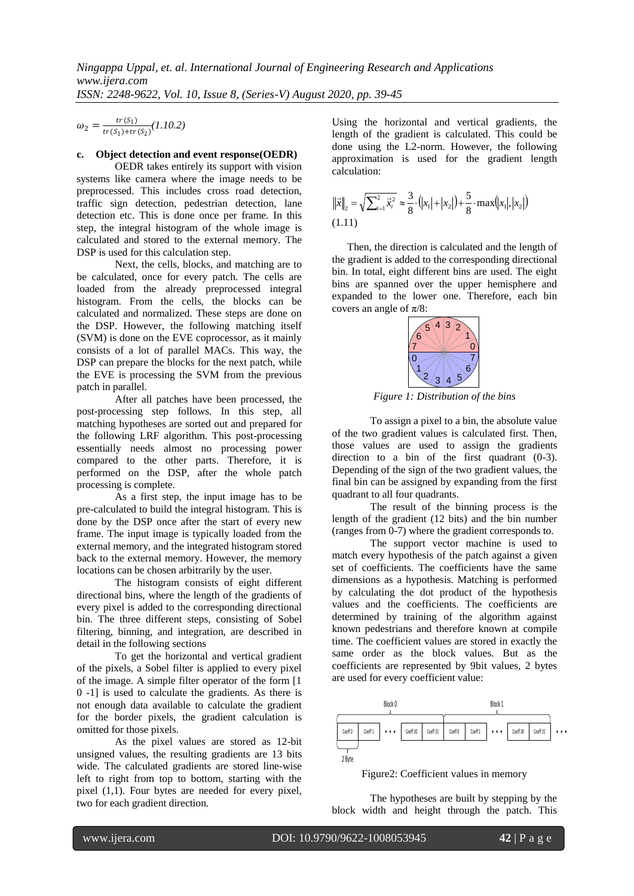$\omega_2 = \frac{tr(S_1)}{tr(S_2) + tr(S_3)}$  $\frac{tr(S_1)}{tr(S_1)+tr(S_2)}(1.10.2)$ 

#### **c. Object detection and event response(OEDR)**

OEDR takes entirely its support with vision systems like camera where the image needs to be preprocessed. This includes cross road detection, traffic sign detection, pedestrian detection, lane detection etc. This is done once per frame. In this step, the integral histogram of the whole image is calculated and stored to the external memory. The DSP is used for this calculation step.

Next, the cells, blocks, and matching are to be calculated, once for every patch. The cells are loaded from the already preprocessed integral histogram. From the cells, the blocks can be calculated and normalized. These steps are done on the DSP. However, the following matching itself (SVM) is done on the EVE coprocessor, as it mainly consists of a lot of parallel MACs. This way, the DSP can prepare the blocks for the next patch, while the EVE is processing the SVM from the previous patch in parallel.

After all patches have been processed, the post-processing step follows. In this step, all matching hypotheses are sorted out and prepared for the following LRF algorithm. This post-processing essentially needs almost no processing power compared to the other parts. Therefore, it is performed on the DSP, after the whole patch processing is complete.

As a first step, the input image has to be pre-calculated to build the integral histogram. This is done by the DSP once after the start of every new frame. The input image is typically loaded from the external memory, and the integrated histogram stored back to the external memory. However, the memory locations can be chosen arbitrarily by the user.

The histogram consists of eight different directional bins, where the length of the gradients of every pixel is added to the corresponding directional bin. The three different steps, consisting of Sobel filtering, binning, and integration, are described in detail in the following sections

To get the horizontal and vertical gradient of the pixels, a Sobel filter is applied to every pixel of the image. A simple filter operator of the form [1 0 -1] is used to calculate the gradients. As there is not enough data available to calculate the gradient for the border pixels, the gradient calculation is omitted for those pixels.

As the pixel values are stored as 12-bit unsigned values, the resulting gradients are 13 bits wide. The calculated gradients are stored line-wise left to right from top to bottom, starting with the pixel (1,1). Four bytes are needed for every pixel, two for each gradient direction.

Using the horizontal and vertical gradients, the length of the gradient is calculated. This could be done using the L2-norm. However, the following approximation is used for the gradient length calculation:

$$
\|\vec{x}\|_{2} = \sqrt{\sum_{i=1}^{2} \vec{x}_{i}^{2}} \approx \frac{3}{8} \cdot (|x_{1}| + |x_{2}|) + \frac{5}{8} \cdot \max(|x_{1}|, |x_{2}|)
$$
\n(1.11)

Then, the direction is calculated and the length of the gradient is added to the corresponding directional bin. In total, eight different bins are used. The eight bins are spanned over the upper hemisphere and expanded to the lower one. Therefore, each bin covers an angle of  $\pi/8$ :



*Figure 1: Distribution of the bins*

To assign a pixel to a bin, the absolute value of the two gradient values is calculated first. Then, those values are used to assign the gradients direction to a bin of the first quadrant (0-3). Depending of the sign of the two gradient values, the final bin can be assigned by expanding from the first quadrant to all four quadrants.

The result of the binning process is the length of the gradient (12 bits) and the bin number (ranges from 0-7) where the gradient corresponds to.

The support vector machine is used to match every hypothesis of the patch against a given set of coefficients. The coefficients have the same dimensions as a hypothesis. Matching is performed by calculating the dot product of the hypothesis values and the coefficients. The coefficients are determined by training of the algorithm against known pedestrians and therefore known at compile time. The coefficient values are stored in exactly the same order as the block values. But as the coefficients are represented by 9bit values, 2 bytes are used for every coefficient value:



Figure2: Coefficient values in memory

The hypotheses are built by stepping by the block width and height through the patch. This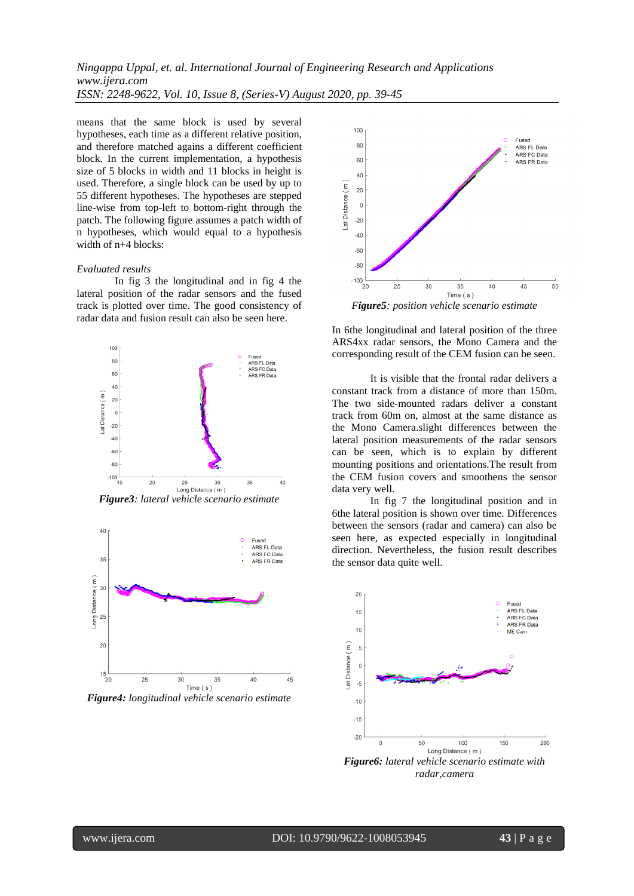means that the same block is used by several hypotheses, each time as a different relative position, and therefore matched agains a different coefficient block. In the current implementation, a hypothesis size of 5 blocks in width and 11 blocks in height is used. Therefore, a single block can be used by up to 55 different hypotheses. The hypotheses are stepped line-wise from top-left to bottom-right through the patch. The following figure assumes a patch width of n hypotheses, which would equal to a hypothesis width of n+4 blocks:

#### *Evaluated results*

In fig 3 the longitudinal and in fig 4 the lateral position of the radar sensors and the fused track is plotted over time. The good consistency of radar data and fusion result can also be seen here.



*Figure3: lateral vehicle scenario estimate*



*Figure4: longitudinal vehicle scenario estimate*



*Figure5: position vehicle scenario estimate*

In 6the longitudinal and lateral position of the three ARS4xx radar sensors, the Mono Camera and the corresponding result of the CEM fusion can be seen.

It is visible that the frontal radar delivers a constant track from a distance of more than 150m. The two side-mounted radars deliver a constant track from 60m on, almost at the same distance as the Mono Camera.slight differences between the lateral position measurements of the radar sensors can be seen, which is to explain by different mounting positions and orientations.The result from the CEM fusion covers and smoothens the sensor data very well.

In fig 7 the longitudinal position and in 6the lateral position is shown over time. Differences between the sensors (radar and camera) can also be seen here, as expected especially in longitudinal direction. Nevertheless, the fusion result describes the sensor data quite well.

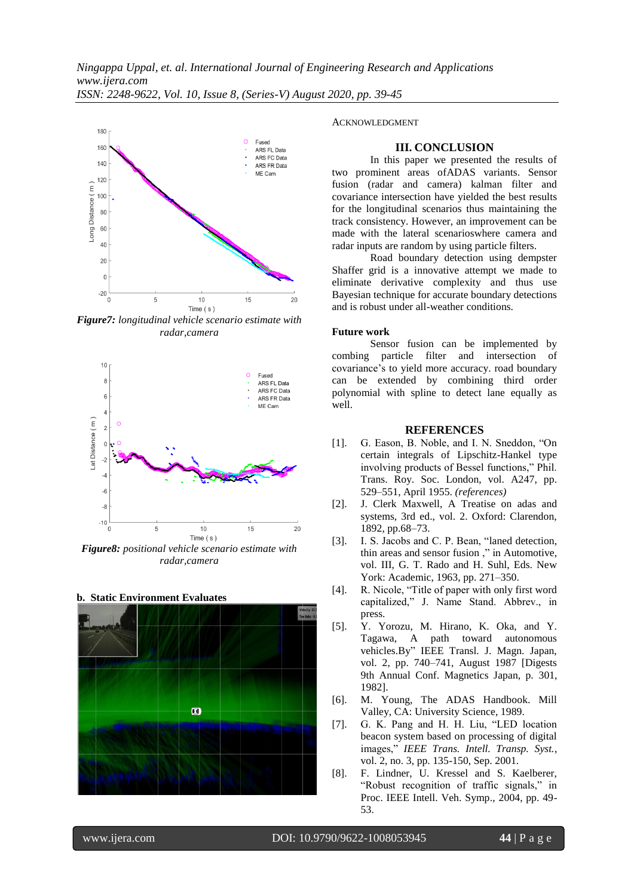

*Figure7: longitudinal vehicle scenario estimate with radar,camera*



*Figure8: positional vehicle scenario estimate with radar,camera*

### **b. Static Environment Evaluates**



#### ACKNOWLEDGMENT

#### **III. CONCLUSION**

In this paper we presented the results of two prominent areas ofADAS variants. Sensor fusion (radar and camera) kalman filter and covariance intersection have yielded the best results for the longitudinal scenarios thus maintaining the track consistency. However, an improvement can be made with the lateral scenarioswhere camera and radar inputs are random by using particle filters.

Road boundary detection using dempster Shaffer grid is a innovative attempt we made to eliminate derivative complexity and thus use Bayesian technique for accurate boundary detections and is robust under all-weather conditions.

#### **Future work**

Sensor fusion can be implemented by combing particle filter and intersection of covariance's to yield more accuracy. road boundary can be extended by combining third order polynomial with spline to detect lane equally as well.

#### **REFERENCES**

- [1]. G. Eason, B. Noble, and I. N. Sneddon, "On certain integrals of Lipschitz-Hankel type involving products of Bessel functions," Phil. Trans. Roy. Soc. London, vol. A247, pp. 529–551, April 1955. *(references)*
- [2]. J. Clerk Maxwell, A Treatise on adas and systems, 3rd ed., vol. 2. Oxford: Clarendon, 1892, pp.68–73.
- [3]. I. S. Jacobs and C. P. Bean, "laned detection, thin areas and sensor fusion ," in Automotive, vol. III, G. T. Rado and H. Suhl, Eds. New York: Academic, 1963, pp. 271–350.
- [4]. R. Nicole, "Title of paper with only first word capitalized," J. Name Stand. Abbrev., in press.
- [5]. Y. Yorozu, M. Hirano, K. Oka, and Y. Tagawa, A path toward autonomous vehicles.By" IEEE Transl. J. Magn. Japan, vol. 2, pp. 740–741, August 1987 [Digests 9th Annual Conf. Magnetics Japan, p. 301, 1982].
- [6]. M. Young, The ADAS Handbook. Mill Valley, CA: University Science, 1989.
- [7]. G. K. Pang and H. H. Liu, "LED location beacon system based on processing of digital images," *IEEE Trans. Intell. Transp. Syst.*, vol. 2, no. 3, pp. 135-150, Sep. 2001.
- [8]. F. Lindner, U. Kressel and S. Kaelberer, "Robust recognition of traffic signals," in Proc. IEEE Intell. Veh. Symp., 2004, pp. 49- 53.